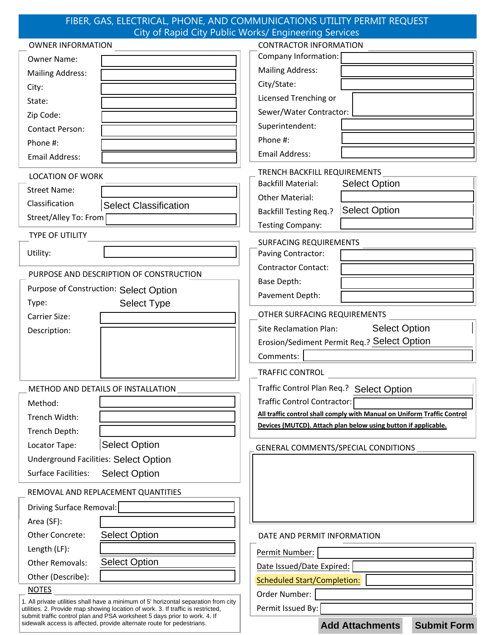#### FIBER, GAS, ELECTRICAL, PHONE, AND COMMUNICATIONS UTILITY PERMIT REQUEST City of Rapid City Public Works/ Engineering Services

| <b>OWNER INFORMATION</b>                                                                                                                                                | <b>CONTRACTOR INFORMATION</b>                                                                                                             |
|-------------------------------------------------------------------------------------------------------------------------------------------------------------------------|-------------------------------------------------------------------------------------------------------------------------------------------|
| <b>Owner Name:</b>                                                                                                                                                      | Company Information:                                                                                                                      |
| <b>Mailing Address:</b>                                                                                                                                                 | <b>Mailing Address:</b>                                                                                                                   |
| City:                                                                                                                                                                   | City/State:                                                                                                                               |
| State:                                                                                                                                                                  | Licensed Trenching or                                                                                                                     |
| Zip Code:                                                                                                                                                               | Sewer/Water Contractor:                                                                                                                   |
| <b>Contact Person:</b>                                                                                                                                                  | Superintendent:                                                                                                                           |
| Phone #:                                                                                                                                                                | Phone #:                                                                                                                                  |
| Email Address:                                                                                                                                                          | <b>Email Address:</b>                                                                                                                     |
| <b>LOCATION OF WORK</b>                                                                                                                                                 | TRENCH BACKFILL REQUIREMENTS                                                                                                              |
| <b>Street Name:</b>                                                                                                                                                     | <b>Backfill Material:</b><br><b>Select Option</b>                                                                                         |
| Classification                                                                                                                                                          | <b>Other Material:</b>                                                                                                                    |
| <b>Select Classification</b>                                                                                                                                            | <b>Select Option</b><br><b>Backfill Testing Req.?</b>                                                                                     |
| Street/Alley To: From                                                                                                                                                   | <b>Testing Company:</b>                                                                                                                   |
| <b>TYPE OF UTILITY</b>                                                                                                                                                  | <b>SURFACING REQUIREMENTS</b>                                                                                                             |
| Utility:                                                                                                                                                                | Paving Contractor:                                                                                                                        |
|                                                                                                                                                                         | <b>Contractor Contact:</b>                                                                                                                |
| PURPOSE AND DESCRIPTION OF CONSTRUCTION                                                                                                                                 | <b>Base Depth:</b>                                                                                                                        |
| Purpose of Construction: Select Option                                                                                                                                  | Pavement Depth:                                                                                                                           |
| <b>Select Type</b><br>Type:                                                                                                                                             | OTHER SURFACING REQUIREMENTS                                                                                                              |
| <b>Carrier Size:</b>                                                                                                                                                    |                                                                                                                                           |
| Description:                                                                                                                                                            | <b>Select Option</b><br><b>Site Reclamation Plan:</b>                                                                                     |
|                                                                                                                                                                         | Erosion/Sediment Permit Req.? Select Option                                                                                               |
|                                                                                                                                                                         | Comments:                                                                                                                                 |
|                                                                                                                                                                         | <b>TRAFFIC CONTROL</b>                                                                                                                    |
| METHOD AND DETAILS OF INSTALLATION                                                                                                                                      | Traffic Control Plan Req.? Select Option                                                                                                  |
| Method:                                                                                                                                                                 | Traffic Control Contractor:                                                                                                               |
| Trench Width:                                                                                                                                                           | All traffic control shall comply with Manual on Uniform Traffic Control<br>Devices (MUTCD). Attach plan below using button if applicable. |
| Trench Depth:                                                                                                                                                           |                                                                                                                                           |
| <b>Select Option</b><br>Locator Tape:                                                                                                                                   | GENERAL COMMENTS/SPECIAL CONDITIONS                                                                                                       |
| <b>Underground Facilities: Select Option</b>                                                                                                                            |                                                                                                                                           |
| <b>Surface Facilities:</b><br><b>Select Option</b>                                                                                                                      |                                                                                                                                           |
| REMOVAL AND REPLACEMENT QUANTITIES                                                                                                                                      |                                                                                                                                           |
| Driving Surface Removal:                                                                                                                                                |                                                                                                                                           |
| Area (SF):                                                                                                                                                              |                                                                                                                                           |
| <b>Select Option</b><br>Other Concrete:                                                                                                                                 | DATE AND PERMIT INFORMATION                                                                                                               |
| Length (LF):                                                                                                                                                            | Permit Number:                                                                                                                            |
| <b>Select Option</b><br><b>Other Removals:</b>                                                                                                                          | Date Issued/Date Expired:                                                                                                                 |
| Other (Describe):                                                                                                                                                       | <b>Scheduled Start/Completion:</b>                                                                                                        |
| <b>NOTES</b>                                                                                                                                                            | Order Number:                                                                                                                             |
| 1. All private utilities shall have a minimum of 5' horizontal separation from city<br>utilities. 2. Provide map showing location of work. 3. If traffic is restricted, | Permit Issued By:                                                                                                                         |
| submit traffic control plan and PSA worksheet 5 days prior to work. 4. If<br>sidewalk access is affected, provide alternate route for pedestrians.                      | <b>Submit Form</b><br><b>Add Attachments</b>                                                                                              |
|                                                                                                                                                                         |                                                                                                                                           |